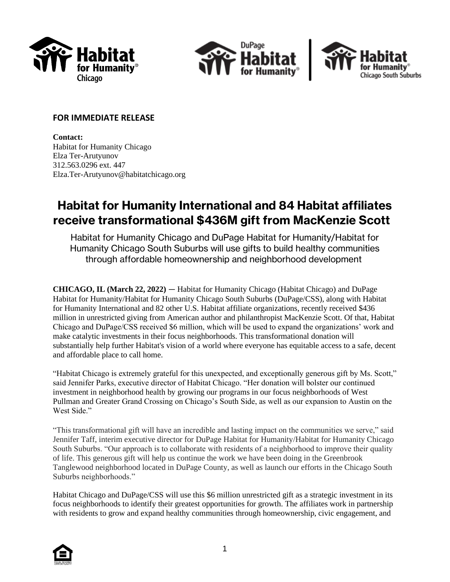





## **FOR IMMEDIATE RELEASE**

**Contact:** Habitat for Humanity Chicago Elza Ter-Arutyunov 312.563.0296 ext. 447 Elza.Ter-Arutyunov@habitatchicago.org

# **Habitat for Humanity International and 84 Habitat affiliates receive transformational \$436M gift from MacKenzie Scott**

Habitat for Humanity Chicago and DuPage Habitat for Humanity/Habitat for Humanity Chicago South Suburbs will use gifts to build healthy communities through affordable homeownership and neighborhood development

**CHICAGO, IL (March 22, 2022)** — Habitat for Humanity Chicago (Habitat Chicago) and DuPage Habitat for Humanity/Habitat for Humanity Chicago South Suburbs (DuPage/CSS), along with Habitat for Humanity International and 82 other U.S. Habitat affiliate organizations, recently received \$436 million in unrestricted giving from American author and philanthropist MacKenzie Scott. Of that, Habitat Chicago and DuPage/CSS received \$6 million, which will be used to expand the organizations' work and make catalytic investments in their focus neighborhoods. This transformational donation will substantially help further Habitat's vision of a world where everyone has equitable access to a safe, decent and affordable place to call home.

"Habitat Chicago is extremely grateful for this unexpected, and exceptionally generous gift by Ms. Scott," said Jennifer Parks, executive director of Habitat Chicago. "Her donation will bolster our continued investment in neighborhood health by growing our programs in our focus neighborhoods of West Pullman and Greater Grand Crossing on Chicago's South Side, as well as our expansion to Austin on the West Side."

"This transformational gift will have an incredible and lasting impact on the communities we serve," said Jennifer Taff, interim executive director for DuPage Habitat for Humanity/Habitat for Humanity Chicago South Suburbs. "Our approach is to collaborate with residents of a neighborhood to improve their quality of life. This generous gift will help us continue the work we have been doing in the Greenbrook Tanglewood neighborhood located in DuPage County, as well as launch our efforts in the Chicago South Suburbs neighborhoods."

Habitat Chicago and DuPage/CSS will use this \$6 million unrestricted gift as a strategic investment in its focus neighborhoods to identify their greatest opportunities for growth. The affiliates work in partnership with residents to grow and expand healthy communities through homeownership, civic engagement, and